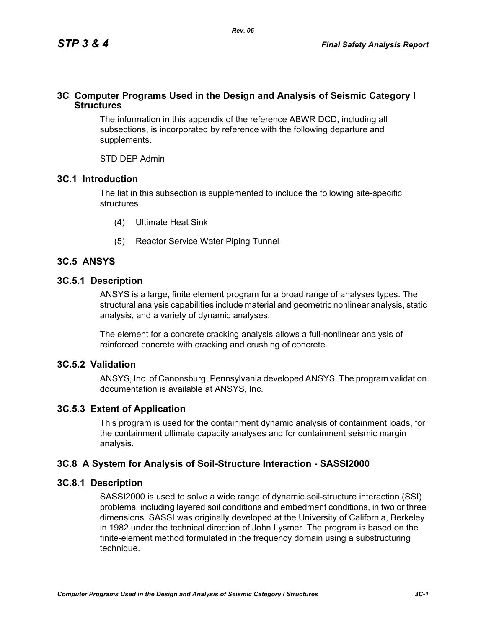## **3C Computer Programs Used in the Design and Analysis of Seismic Category I Structures**

The information in this appendix of the reference ABWR DCD, including all subsections, is incorporated by reference with the following departure and supplements.

STD DEP Admin

## **3C.1 Introduction**

The list in this subsection is supplemented to include the following site-specific structures.

- (4) Ultimate Heat Sink
- (5) Reactor Service Water Piping Tunnel

# **3C.5 ANSYS**

## **3C.5.1 Description**

ANSYS is a large, finite element program for a broad range of analyses types. The structural analysis capabilities include material and geometric nonlinear analysis, static analysis, and a variety of dynamic analyses.

The element for a concrete cracking analysis allows a full-nonlinear analysis of reinforced concrete with cracking and crushing of concrete.

## **3C.5.2 Validation**

ANSYS, Inc. of Canonsburg, Pennsylvania developed ANSYS. The program validation documentation is available at ANSYS, Inc.

# **3C.5.3 Extent of Application**

This program is used for the containment dynamic analysis of containment loads, for the containment ultimate capacity analyses and for containment seismic margin analysis.

## **3C.8 A System for Analysis of Soil-Structure Interaction - SASSI2000**

## **3C.8.1 Description**

SASSI2000 is used to solve a wide range of dynamic soil-structure interaction (SSI) problems, including layered soil conditions and embedment conditions, in two or three dimensions. SASSI was originally developed at the University of California, Berkeley in 1982 under the technical direction of John Lysmer. The program is based on the finite-element method formulated in the frequency domain using a substructuring technique.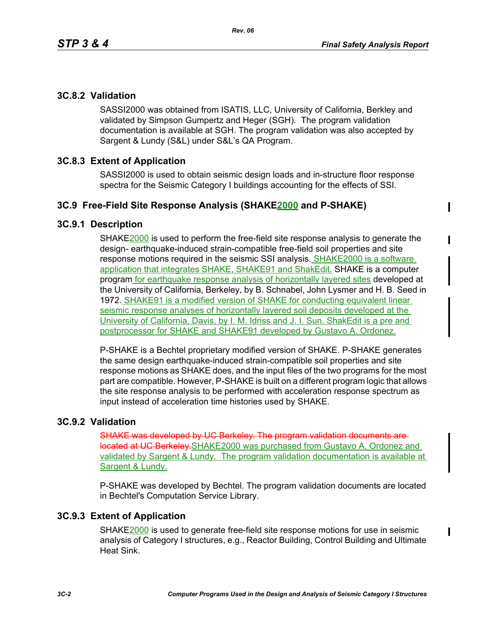ı

## **3C.8.2 Validation**

SASSI2000 was obtained from ISATIS, LLC, University of California, Berkley and validated by Simpson Gumpertz and Heger (SGH). The program validation documentation is available at SGH. The program validation was also accepted by Sargent & Lundy (S&L) under S&L's QA Program.

## **3C.8.3 Extent of Application**

SASSI2000 is used to obtain seismic design loads and in-structure floor response spectra for the Seismic Category I buildings accounting for the effects of SSI.

### **3C.9 Free-Field Site Response Analysis (SHAKE2000 and P-SHAKE)**

#### **3C.9.1 Description**

SHAKE2000 is used to perform the free-field site response analysis to generate the design- earthquake-induced strain-compatible free-field soil properties and site response motions required in the seismic SSI analysis. SHAKE2000 is a software application that integrates SHAKE, SHAKE91 and ShakEdit. SHAKE is a computer program for earthquake response analysis of horizontally layered sites developed at the University of California, Berkeley, by B. Schnabel, John Lysmer and H. B. Seed in 1972. SHAKE91 is a modified version of SHAKE for conducting equivalent linear seismic response analyses of horizontally layered soil deposits developed at the University of California, Davis, by I. M. Idriss and J. I. Sun. ShakEdit is a pre and postprocessor for SHAKE and SHAKE91 developed by Gustavo A. Ordonez.

P-SHAKE is a Bechtel proprietary modified version of SHAKE. P-SHAKE generates the same design earthquake-induced strain-compatible soil properties and site response motions as SHAKE does, and the input files of the two programs for the most part are compatible. However, P-SHAKE is built on a different program logic that allows the site response analysis to be performed with acceleration response spectrum as input instead of acceleration time histories used by SHAKE.

### **3C.9.2 Validation**

SHAKE was developed by UC Berkeley. The program v located at UC Berkeley.SHAKE2000 was purchased from Gustavo A. Ordonez and validated by Sargent & Lundy. The program validation documentation is available at Sargent & Lundy.

P-SHAKE was developed by Bechtel. The program validation documents are located in Bechtel's Computation Service Library.

### **3C.9.3 Extent of Application**

SHAKE2000 is used to generate free-field site response motions for use in seismic analysis of Category I structures, e.g., Reactor Building, Control Building and Ultimate Heat Sink.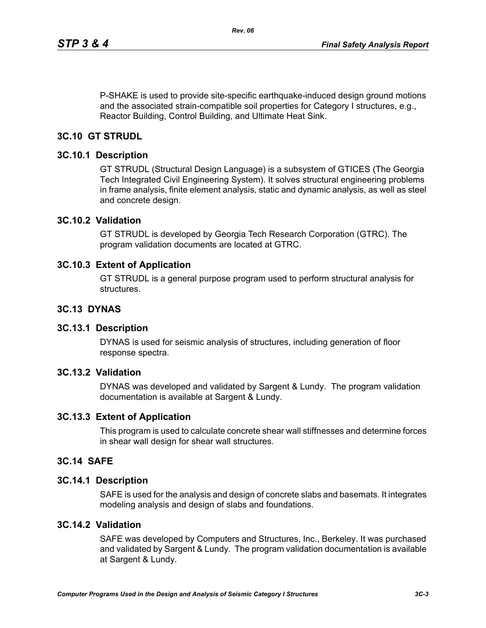P-SHAKE is used to provide site-specific earthquake-induced design ground motions and the associated strain-compatible soil properties for Category I structures, e.g., Reactor Building, Control Building, and Ultimate Heat Sink.

*Rev. 06*

## **3C.10 GT STRUDL**

#### **3C.10.1 Description**

GT STRUDL (Structural Design Language) is a subsystem of GTICES (The Georgia Tech Integrated Civil Engineering System). It solves structural engineering problems in frame analysis, finite element analysis, static and dynamic analysis, as well as steel and concrete design.

#### **3C.10.2 Validation**

GT STRUDL is developed by Georgia Tech Research Corporation (GTRC). The program validation documents are located at GTRC.

### **3C.10.3 Extent of Application**

GT STRUDL is a general purpose program used to perform structural analysis for structures.

### **3C.13 DYNAS**

#### **3C.13.1 Description**

DYNAS is used for seismic analysis of structures, including generation of floor response spectra.

## **3C.13.2 Validation**

DYNAS was developed and validated by Sargent & Lundy. The program validation documentation is available at Sargent & Lundy.

#### **3C.13.3 Extent of Application**

This program is used to calculate concrete shear wall stiffnesses and determine forces in shear wall design for shear wall structures.

#### **3C.14 SAFE**

#### **3C.14.1 Description**

SAFE is used for the analysis and design of concrete slabs and basemats. It integrates modeling analysis and design of slabs and foundations.

## **3C.14.2 Validation**

SAFE was developed by Computers and Structures, Inc., Berkeley. It was purchased and validated by Sargent & Lundy. The program validation documentation is available at Sargent & Lundy.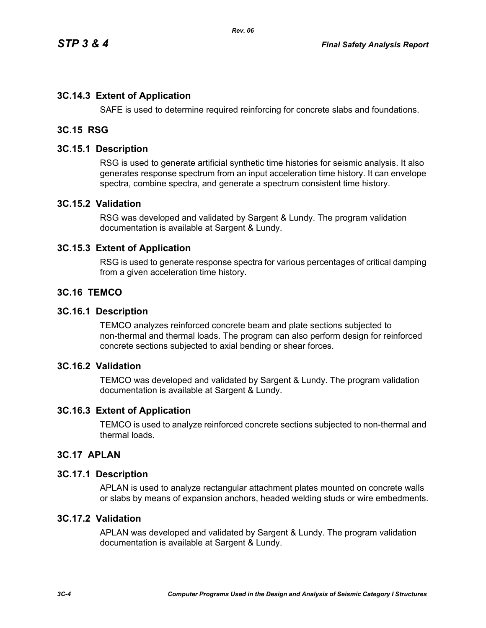## **3C.14.3 Extent of Application**

SAFE is used to determine required reinforcing for concrete slabs and foundations.

## **3C.15 RSG**

### **3C.15.1 Description**

RSG is used to generate artificial synthetic time histories for seismic analysis. It also generates response spectrum from an input acceleration time history. It can envelope spectra, combine spectra, and generate a spectrum consistent time history.

#### **3C.15.2 Validation**

RSG was developed and validated by Sargent & Lundy. The program validation documentation is available at Sargent & Lundy.

#### **3C.15.3 Extent of Application**

RSG is used to generate response spectra for various percentages of critical damping from a given acceleration time history.

### **3C.16 TEMCO**

#### **3C.16.1 Description**

TEMCO analyzes reinforced concrete beam and plate sections subjected to non-thermal and thermal loads. The program can also perform design for reinforced concrete sections subjected to axial bending or shear forces.

#### **3C.16.2 Validation**

TEMCO was developed and validated by Sargent & Lundy. The program validation documentation is available at Sargent & Lundy.

#### **3C.16.3 Extent of Application**

TEMCO is used to analyze reinforced concrete sections subjected to non-thermal and thermal loads.

#### **3C.17 APLAN**

#### **3C.17.1 Description**

APLAN is used to analyze rectangular attachment plates mounted on concrete walls or slabs by means of expansion anchors, headed welding studs or wire embedments.

#### **3C.17.2 Validation**

APLAN was developed and validated by Sargent & Lundy. The program validation documentation is available at Sargent & Lundy.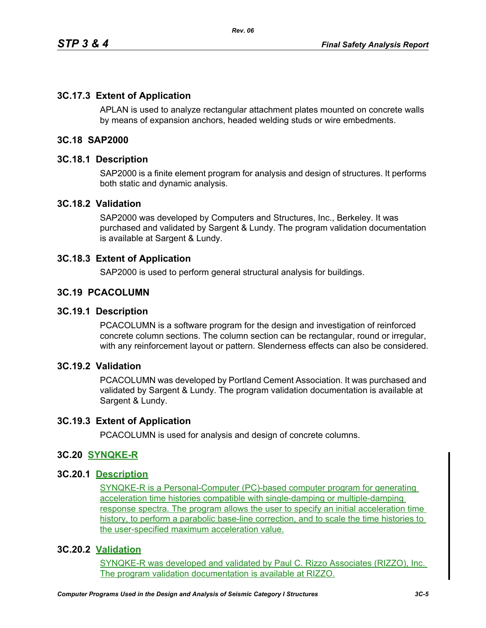## **3C.17.3 Extent of Application**

APLAN is used to analyze rectangular attachment plates mounted on concrete walls by means of expansion anchors, headed welding studs or wire embedments.

## **3C.18 SAP2000**

#### **3C.18.1 Description**

SAP2000 is a finite element program for analysis and design of structures. It performs both static and dynamic analysis.

#### **3C.18.2 Validation**

SAP2000 was developed by Computers and Structures, Inc., Berkeley. It was purchased and validated by Sargent & Lundy. The program validation documentation is available at Sargent & Lundy.

### **3C.18.3 Extent of Application**

SAP2000 is used to perform general structural analysis for buildings.

### **3C.19 PCACOLUMN**

### **3C.19.1 Description**

PCACOLUMN is a software program for the design and investigation of reinforced concrete column sections. The column section can be rectangular, round or irregular, with any reinforcement layout or pattern. Slenderness effects can also be considered.

#### **3C.19.2 Validation**

PCACOLUMN was developed by Portland Cement Association. It was purchased and validated by Sargent & Lundy. The program validation documentation is available at Sargent & Lundy.

#### **3C.19.3 Extent of Application**

PCACOLUMN is used for analysis and design of concrete columns.

#### **3C.20 SYNQKE-R**

#### **3C.20.1 Description**

SYNQKE-R is a Personal-Computer (PC)-based computer program for generating acceleration time histories compatible with single-damping or multiple-damping response spectra. The program allows the user to specify an initial acceleration time history, to perform a parabolic base-line correction, and to scale the time histories to the user-specified maximum acceleration value.

## **3C.20.2 Validation**

SYNQKE-R was developed and validated by Paul C. Rizzo Associates (RIZZO), Inc. The program validation documentation is available at RIZZO.